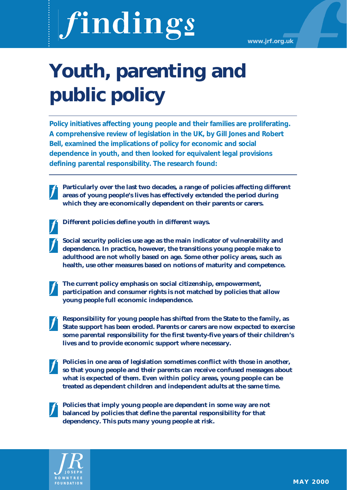# findings

# **Youth, parenting and public policy**

**Policy initiatives affecting young people and their families are proliferating. A comprehensive review of legislation in the UK, by Gill Jones and Robert Bell, examined the implications of policy for economic and social dependence in youth, and then looked for equivalent legal provisions defining parental responsibility. The research found:**

**Particularly over the last two decades, a range of policies affecting different areas of young people's lives has effectively extended the period during which they are economically dependent on their parents or carers.**

**Different policies define youth in different ways.**

**Social security policies use age as the main indicator of vulnerability and dependence. In practice, however, the transitions young people make to adulthood are not wholly based on age. Some other policy areas, such as health, use other measures based on notions of maturity and competence.** 

**The current policy emphasis on social citizenship, empowerment, participation and consumer rights is not matched by policies that allow young people full economic independence.**

**Responsibility for young people has shifted from the State to the family, as State support has been eroded. Parents or carers are now expected to exercise some parental responsibility for the first twenty-five years of their children's lives and to provide economic support where necessary.**

**Policies in one area of legislation sometimes conflict with those in another, so that young people and their parents can receive confused messages about what is expected of them. Even within policy areas, young people can be treated as dependent children and independent adults at the same time.**

**Policies that imply young people are dependent in some way are not balanced by policies that define the parental responsibility for that dependency. This puts many young people at risk.**

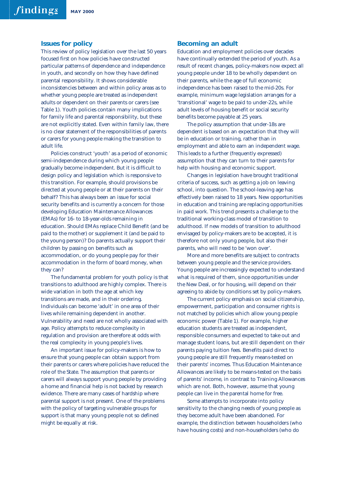#### **Issues for policy**

This review of policy legislation over the last 50 years focused first on how policies have constructed particular patterns of dependence and independence in youth, and secondly on how they have defined parental responsibility. It shows considerable inconsistencies between and within policy areas as to whether young people are treated as independent adults or dependent on their parents or carers (see Table 1). Youth policies contain many implications for family life and parental responsibility, but these are not explicitly stated. Even within family law, there is no clear statement of the responsibilities of parents or carers for young people making the transition to adult life.

Policies construct 'youth' as a period of economic semi-independence during which young people gradually become independent. But it is difficult to design policy and legislation which is responsive to this transition. For example, should provisions be directed at young people or at their parents on their behalf? This has always been an issue for social security benefits and is currently a concern for those developing Education Maintenance Allowances (EMAs) for 16- to 18-year-olds remaining in education. Should EMAs replace Child Benefit (and be paid to the mother) or supplement it (and be paid to the young person)? Do parents actually support their children by passing on benefits such as accommodation, or do young people pay for their accommodation in the form of board money, when they can?

The fundamental problem for youth policy is that transitions to adulthood are highly complex. There is wide variation in both the age at which key transitions are made, and in their ordering. Individuals can become 'adult' in one area of their lives while remaining dependent in another. Vulnerability and need are not wholly associated with age. Policy attempts to reduce complexity in regulation and provision are therefore at odds with the real complexity in young people's lives.

An important issue for policy-makers is how to ensure that young people can obtain support from their parents or carers where policies have reduced the role of the State. The assumption that parents or carers will always support young people by providing a home and financial help is not backed by research evidence. There are many cases of hardship where parental support is not present. One of the problems with the policy of targeting vulnerable groups for support is that many young people not so defined might be equally at risk.

#### **Becoming an adult**

Education and employment policies over decades have continually extended the period of youth. As a result of recent changes, policy-makers now expect all young people under 18 to be wholly dependent on their parents, while the age of full economic independence has been raised to the mid-20s. For example, minimum wage legislation arranges for a 'transitional' wage to be paid to under-22s, while adult levels of housing benefit or social security benefits become payable at 25 years.

The policy assumption that under-18s are dependent is based on an expectation that they will be in education or training, rather than in employment and able to earn an independent wage. This leads to a further (frequently expressed) assumption that they can turn to their parents for help with housing and economic support.

Changes in legislation have brought traditional criteria of success, such as getting a job on leaving school, into question. The school-leaving age has effectively been raised to 18 years. New opportunities in education and training are replacing opportunities in paid work. This trend presents a challenge to the traditional working-class model of transition to adulthood. If new models of transition to adulthood envisaged by policy-makers are to be accepted, it is therefore not only young people, but also their parents, who will need to be 'won over'.

More and more benefits are subject to contracts between young people and the service providers. Young people are increasingly expected to understand what is required of them, since opportunities under the New Deal, or for housing, will depend on their agreeing to abide by conditions set by policy-makers.

The current policy emphasis on social citizenship, empowerment, participation and consumer rights is not matched by policies which allow young people economic power (Table 1). For example, higher education students are treated as independent, responsible consumers and expected to take out and manage student loans, but are still dependent on their parents paying tuition fees. Benefits paid direct to young people are still frequently means-tested on their parents' incomes. Thus Education Maintenance Allowances are likely to be means-tested on the basis of parents' income, in contrast to Training Allowances which are not. Both, however, assume that young people can live in the parental home for free.

Some attempts to incorporate into policy sensitivity to the changing needs of young people as they become adult have been abandoned. For example, the distinction between householders (who have housing costs) and non-householders (who do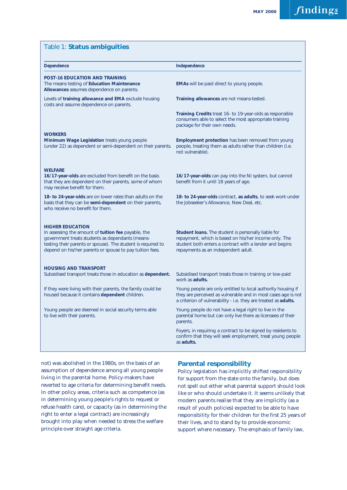| Table 1: Status ambiguities                                                                                                                                                                                                                                    |                                                                                                                                                                                                                |
|----------------------------------------------------------------------------------------------------------------------------------------------------------------------------------------------------------------------------------------------------------------|----------------------------------------------------------------------------------------------------------------------------------------------------------------------------------------------------------------|
| <b>Dependence</b>                                                                                                                                                                                                                                              | Independence                                                                                                                                                                                                   |
| <b>POST-16 EDUCATION AND TRAINING</b><br>The means testing of Education Maintenance<br>Allowances assumes dependence on parents.                                                                                                                               | EMAs will be paid direct to young people.                                                                                                                                                                      |
| Levels of training allowance and EMA exclude housing<br>costs and assume dependence on parents.                                                                                                                                                                | Training allowances are not means-tested.                                                                                                                                                                      |
|                                                                                                                                                                                                                                                                | Training Credits treat 16- to 19-year-olds as responsible<br>consumers able to select the most appropriate training<br>package for their own needs.                                                            |
| <b>WORKERS</b><br>Minimum Wage Legislation treats young people<br>(under 22) as dependent or semi-dependent on their parents.                                                                                                                                  | <b>Employment protection has been removed from young</b><br>people, treating them as adults rather than children (i.e.<br>not vulnerable).                                                                     |
| <b>WELFARE</b><br>16/17-year-olds are excluded from benefit on the basis<br>that they are dependent on their parents, some of whom<br>may receive benefit for them.                                                                                            | 16/17-year-olds can pay into the NI system, but cannot<br>benefit from it until 18 years of age.                                                                                                               |
| 18- to 24-year-olds are on lower rates than adults on the<br>basis that they can be semi-dependent on their parents,<br>who receive no benefit for them.                                                                                                       | 18- to 24-year-olds contract, as adults, to seek work under<br>the Jobseeker's Allowance, New Deal, etc.                                                                                                       |
| <b>HIGHER EDUCATION</b><br>In assessing the amount of tuition fee payable, the<br>government treats students as dependants (means-<br>testing their parents or spouse). The student is required to<br>depend on his/her parents or spouse to pay tuition fees. | Student loans. The student is personally liable for<br>repayment, which is based on his/her income only. The<br>student both enters a contract with a lender and begins<br>repayments as an independent adult. |
| <b>HOUSING AND TRANSPORT</b><br>Subsidised transport treats those in education as dependent.                                                                                                                                                                   | Subsidised transport treats those in training or low-paid<br>work as adults.                                                                                                                                   |
| If they were living with their parents, the family could be<br>housed because it contains dependent children.                                                                                                                                                  | Young people are only entitled to local authority housing if<br>they are perceived as vulnerable and in most cases age is not<br>a criterion of vulnerability - i.e. they are treated as adults.               |
| Young people are deemed in social security terms able<br>to live with their parents.                                                                                                                                                                           | Young people do not have a legal right to live in the<br>parental home but can only live there as licensees of their<br>parents.                                                                               |
|                                                                                                                                                                                                                                                                | Foyers, in requiring a contract to be signed by residents to<br>confirm that they will seek employment, treat young people<br>as adults.                                                                       |

not) was abolished in the 1980s, on the basis of an assumption of dependence among all young people living in the parental home. Policy-makers have reverted to age criteria for determining benefit needs. In other policy areas, criteria such as competence (as in determining young people's rights to request or refuse health care), or capacity (as in determining the right to enter a legal contract) are increasingly brought into play when needed to stress the welfare principle over straight age criteria.

# **Parental responsibility**

Policy legislation has implicitly shifted responsibility for support from the state onto the family, but does not spell out either what parental support should look like or who should undertake it. It seems unlikely that modern parents realise that they are implicitly (as a result of youth policies) expected to be able to have responsibility for their children for the first 25 years of their lives, and to stand by to provide economic support where necessary. The emphasis of family law,